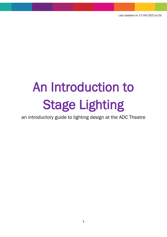# An Introduction to Stage Lighting

an introductory guide to lighting design at the ADC Theatre

1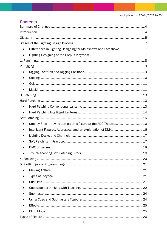# **Contents**

| Differences in Lighting Designing for Mainshows and Lateshows 7  |
|------------------------------------------------------------------|
|                                                                  |
|                                                                  |
|                                                                  |
|                                                                  |
|                                                                  |
|                                                                  |
|                                                                  |
|                                                                  |
|                                                                  |
|                                                                  |
|                                                                  |
|                                                                  |
| Step by Step - how to soft patch a fixture at the ADC Theatre 16 |
| Intelligent Fixtures, Addresses, and an explanation of DMX 16    |
|                                                                  |
|                                                                  |
|                                                                  |
|                                                                  |
|                                                                  |
|                                                                  |
|                                                                  |
|                                                                  |
|                                                                  |
|                                                                  |
|                                                                  |
|                                                                  |
|                                                                  |
|                                                                  |
|                                                                  |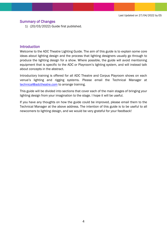## <span id="page-3-0"></span>Summary of Changes

1) (20/03/2022) Guide first published.

#### <span id="page-3-1"></span>**Introduction**

Welcome to the ADC Theatre Lighting Guide. The aim of this guide is to explain some core ideas about lighting design and the process that lighting designers usually go through to produce the lighting design for a show. Where possible, the guide will avoid mentioning equipment that is specific to the ADC or Playroom's lighting system, and will instead talk about concepts in the abstract.

Introductory training is offered for all ADC Theatre and Corpus Playroom shows on each venue's lighting and rigging systems. Please email the Technical Manager at [technical@adctheatre.com](mailto:technical@adctheatre.com) to arrange training.

This guide will be divided into sections that cover each of the main stages of bringing your lighting design from your imagination to the stage. I hope it will be useful.

If you have any thoughts on how the guide could be improved, please email them to the Technical Manager at the above address. The intention of this guide is to be useful to all newcomers to lighting design, and we would be very grateful for your feedback!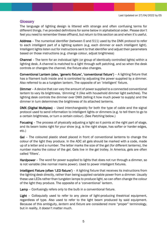## <span id="page-4-0"></span>**Glossary**

The language of lighting design is littered with strange and often confusing terms for different things. I've provided definitions for some below in alphabetical order. Please don't feel you need to remember these offhand, but return to this section as and when it's useful.

Address – The numerical identifier (between 0 and 511) used by the DMX protocol to refer to each intelligent part of a lighting system (e.g. each dimmer or each intelligent light). Intelligent lights listen out for instructions sent to that identifier and adjust their parameters based on those instructions (e.g. change colour, adjust brightness)

Channel – The term for an individual light (or group of identically controlled lights) within a lighting desk. A channel is matched to a light through soft patching, and so when the desk controls or changes the channel, the fixture also changes.

Conventional Lantern (also, 'generic fixture', 'conventional fixture') – A lighting fixture that has a filament bulb inside and is controlled by adjusting the power supplied by a dimmer. Also referred to as a tungsten lantern. The opposite of an 'intelligent' fixture.

Dimmer – A device that can vary the amount of power supplied to a connected conventional lantern to vary its brightness, 'dimming' it (like with household dimmer light switches). The lighting desk controls the dimmer over DMX (telling it how much power to supply) and the dimmer in turn determines the brightness of its attached lanterns.

DMX (Digital Multiplex) - Used interchangeably for both the type of cable and the signal protocol used to send information to intelligent lights or dimmers (e.g. to tell them to go to a certain brightness, or turn a certain colour). (See *Patching* below.)

Focusing – The process of physically adjusting a light so it points at the right part of stage, and its beam looks right for your show (e.g. is the right shape, has softer or harder edges, etc.)

Gel – The coloured plastic sheet placed in front of conventional lanterns to change the colour of the light they produce. In the ADC all gels should be marked with a code, made up of a letter and a number. The letter marks the size of the gel (for different lanterns), the number marks the colour of the gel. Gels live in the gel trolley. In America, gels are often called 'filters'.

Hardpower – The word for power supplied to lights that does not run through a dimmer, so is not variable (like normal mains power). Used to power intelligent fixtures.

Intelligent Fixture (often 'LED fixture') – A lighting fixture that receives its instructions from the lighting desk directly, rather than being supplied variable power from a dimmer. Usually these use LEDs rather than tungsten lamps to produce light, so can often change the colour of the light they produce. The opposite of a 'conventional' lantern.

Lamp – Confusingly refers only to the bulb in a conventional fixture.

Light – Colloquially used to refer to any piece of light-producing theatrical equipment, regardless of type. Also used to refer to the light beam produced by said equipment. Because of this ambiguity, *lantern* and *fixture* are considered more "proper" terminology, but in reality, it doesn't matter much.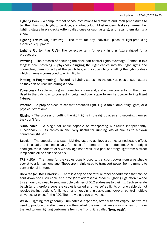Lighting Desk – A computer that sends instructions to dimmers and intelligent fixtures to tell them how much light to produce, and what colour. Most modern desks can remember lighting states in playbacks (often called cues or submasters), and recall them during a show.

Lighting Fixture (or, 'Fixture') – The term for any individual piece of light-producing theatrical equipment.

Lighting Rig (or 'the Rig')- The collective term for every lighting fixture rigged for a production.

Patching – The process of ensuring the desk can control lights overstage. Comes in two stages: hard patching – physically plugging the right cables into the right lights and connecting them correctly at the patch bay; and soft patching – telling the lighting desk which channels correspond to which lights.

Plotting (or Programming) – Recording lighting states into the desk as cues or submasters so they can be recalled during a show.

Powercon – A cable with a grey connector on one end, and a blue connector on the other. Used in the patchbay to connect circuits, and over stage to run hardpower to intelligent fixtures.

Practical – A prop or piece of set that produces light. E.g. a table lamp, fairy lights, or a physical streetlamp.

Rigging – The process of putting the right lights in the right places and securing them so they don't fall.

SOCA cable – A single fat cable capable of transporting 6 circuits independently. Functionally 6 TRS cables in one. Very useful for running lots of circuits to a flown counterweight bar.

Special – The opposite of a wash. Lighting used to achieve a particular noticeable effect, and is usually used selectively for 'special' moments in a production. A hard-edged spotlight, the silhouette of a window against a wall, or a pool of orange light from a street lamp could all be called specials.

TRS / 15A – The name for the cables usually used to transport power from a patchable socket to a lantern onstage. These are mainly used to transport power from dimmers to conventional lanterns.

Universe (or DMX Universe) – There is a cap on the total number of addresses that can be sent down one DMX cable at a time (512 addresses). Modern lighting rigs often exceed this amount, so need to send multiple batches of 512 addresses to their rig. Each separate batch (and therefore separate cable) is called a 'Universe' as lights on one cable do not receive the instructions for lights on another. Lighting desks can, however, control multiple universes at once. At the ADC Theatre we use two universes.

Wash – Lighting that generally illuminates a large area, often with soft edges. The fixtures used to produce this effect are also often called 'the wash'. When a wash comes from over the auditorium, lighting performers from the 'front', it is called 'front wash'.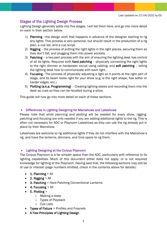# <span id="page-6-0"></span>Stages of the Lighting Design Process

Lighting Design generally splits into five stages. I will list them here, and go into more detail on each in their section below.

- 1) Planning –the design work that happens in advance of the designer starting to rig any lights. This process is very personal, but should result in the production of a rig plan, a cue list, and a cue script.
- 2) Rigging the process of putting the right lights in the right places, securing them so they don't fall, and plugging them into power sockets.
- 3) Patching a two-part process with the aim of ensuring the lighting desk has control of all its lights. Requires both hard patching - physically connecting the right lights to the right dimmer or hardpower circuit using cabling; and soft patching - telling the lighting desk how to communicate with each light.
- 4) Focusing The process of physically adjusting a light so it points at the right part of stage, and its beam looks right for your show (e.g. is the right shape, has softer or harder edges, etc.)
- 5) Plotting (a.k.a. Programming) Creating lighting states and recording them into the desk as cues so they can be recalled during a show.

This guide will now go into more detail on each of these sections.

## <span id="page-6-1"></span>• Differences in Lighting Designing for Mainshows and Lateshows

Please note that while *planning* and *plotting* will be needed for every show, *rigging*, *patching* and *focusing* are only needed if you are adding additional lights to the rig. This is often not necessary for ADC or Playroom Lateshows as they can use the rig already put in place by their Mainshow.

Lateshows are welcome to rig additional lights if they do not interfere with the Mainshow's rig, and have the lanterns, dimmers, and time spare to rig them.

#### <span id="page-6-2"></span>• Lighting Designing at the Corpus Playroom

The Corpus Playroom is a far simpler space than the ADC, particularly with reference to its lighting capabilities. Much of this document either does not apply, or is not required knowledge for lighting at the Playroom. Having said that, the following sections may still be of use or interest (page numbers omitted, check in the contents above for details):

- $\bullet$  1. Planning  $>$  All
- 2. Rigging  $>$  All
- 3. Patching > Hard Patching Conventional Lanterns
- $\bullet$  4. Focusing  $>$  All
- $\bullet$  5. Plotting >
	- o Making a state
	- o Types of Playback
	- o Cue Lists
- Types of Fixture > Profiles and Fresnels
- A Few Principles of Lighting Design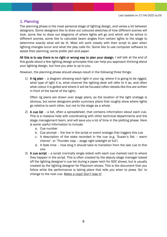# <span id="page-7-0"></span>1. Planning

The planning phase is the most personal stage of lighting design, and varies a lot between designers. Some designers like to draw out coloured sketches of how different scenes will look, some like to draw out diagrams of where lights will go and which will be active in different scenes, some like to calculate beam angles from certain lights to the stage to determine exactly what will be lit. Most will work closely with their script to plan when lighting changes occur and what the play calls for. Some like to use computer software to assist their planning, some prefer pen and paper.

All this is to say there is no right or wrong way to plan your design. I will talk at the end of this guide about a few lighting design principles that can help you approach thinking about your lighting design, but how you plan is up to you.

However, the planning phase should always result in the following three things:

1) A rig plan – a diagram showing each light in your rig, where it is going to be rigged, what type of light it is, what channel the lighting desk will refer to it as, and often what colour it is gelled and where it will be focused (often details like this are written in front of the barrel of the light).

Often rig plans are drawn over stage plans, so the location of the light onstage is obvious, but some designers prefer summary plans that roughly show where lights go relative to each other, but not to the stage as a whole.

- 2) A cue list a list, often a spreadsheet, that contains information about each cue. This is a massive help with coordinating with other technical departments and the stage management team, and will save you a lot of time in the plotting phase. Here is some useful information to include:
	- a. Cue number
	- b. Cue prompt the line in the script or event onstage that triggers this cue
	- c. A description of the state recorded in the cue (e.g. 'Susan's flat warm interior', or 'Thunder clap – stage right sidelight at full')
	- d. A fade time how long it should take to transition from the last cue to this one
- 3) A cue script a script (normally single sided) with each cue marked next to where they happen in the script. This is often created by the deputy stage manager based off the lighting designer's cue list during a paper tech for ADC shows, but is usually created by the lighting designer for Playroom shows. This is the document that you follow while the performance is taking place that tells you when to press 'Go' to change to the next cue. Make a copy! Don't lose it!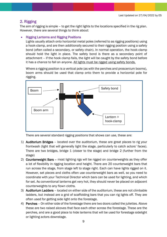# <span id="page-8-0"></span>2. Rigging

The aim of rigging is simple – to get the right lights to the locations specified in the rig plan. However, there are several things to think about:

## <span id="page-8-1"></span>• Rigging Lanterns and Rigging Positions

Lights usually attach onto horizontal metal poles (referred to as rigging positions) using a hook-clamp, and are then additionally secured to their rigging position using a safety bond (often called a secondary, or safety chain). In normal operation, the hook-clamp should hold the light in place. The safety bond is there as a secondary point of attachment – if the hook clamp fails, the light will be caught by the safety bond before it has a chance to fall on anyone. All lights must be rigged using safety bonds.

Where a rigging position is a vertical pole (as with the perches and proscenium booms), boom arms should be used that clamp onto them to provide a horizontal pole for rigging.



There are several standard rigging positions that shows can use, these are:

- 1) Auditorium Bridges located over the auditorium, these are great places to rig your frontwash (light that will generally light the stage, particularly to catch actors' faces). There are two bridges, bridge 1 (closer to the stage) and bridge 2 (further from the stage)
- 2) Counterweight Bars most lighting rigs will be rigged on counterweights as they offer a lot of flexibility in rigging location and height. There are 20 counterweight bars that run across the stage, from stage left to stage right. Each can have lights rigged on it. However, set pieces and cloths often use counterweight bars as well, so you need to coordinate with your Technical Director which bars can be used for lighting, and which for set. As conventional lanterns get very hot, they should never be placed on adjacent counterweights to any flown cloths.
- 3) Auditorium Ladders located on either side of the auditorium, these are not climbable ladders, but instead are a grid of scaffolding bars that you can rig lights off. They are often used for getting side light onto the forestage.
- 4) Perches On either side of the forestage there are two doors called the juliettes. Above these are two raised alcoves that face each other across the forestage. These are the perches, and are a good place to hide lanterns that will be used for forestage sidelight or lighting actors downstage.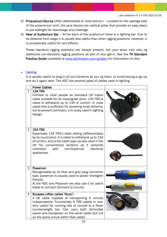- 5) Proscenium Booms (often abbreviated to 'pros booms') Located on the upstage side of the proscenium arch, the pros booms are vertical poles that provide an easy place to put sidelight for downstage and midstage.
- 6) Rear of Auditorium Bar At the back of the auditorium there is a lighting bar. Due to its distance from stage it is usually less useful than other rigging positions. However, it is occasionally useful for rare effects.

These standard rigging positions are always present, but your show may also rig additional non-standard rigging positions as part of your get-in. See the TR Standard Practice Guide (available at [www.adctheatre.com/guides\)](http://www.adctheatre.com/guides) for information on this.

## <span id="page-9-0"></span>• Cabling

It is usually useful to plug in all your lanterns as you rig them, to avoid having to go up and do it again later. The ADC has several types of cables used in lighting.

|                | <b>Power Cables</b>                                                                                                                                                                                                                                                                                                                   |  |
|----------------|---------------------------------------------------------------------------------------------------------------------------------------------------------------------------------------------------------------------------------------------------------------------------------------------------------------------------------------|--|
| $\mathbf 1$    | <b>13A TRS</b><br>Familiar to most people as standard UK mains<br>cable (notable for its rectangular pins), 13A TRS is<br>rated to withstand up to 13A of current. In most<br>cases this is sufficient for powering most lanterns,<br>but to prevent confusion, it is rarely used in lighting<br>design.                              |  |
| $\overline{2}$ | 15A TRS<br>Essentially 13A TRS's older sibling (differentiated<br>by its round pins). It is rated to withstand up to 15A<br>of current, and is the cable type usually used in the<br>UK for conventional lanterns as it prevents<br>confusion<br>with<br>non-theatrical<br>electrical<br>appliances.                                  |  |
| 3              | Powercon<br>Recognisable by its blue and grey plug connector<br>type, powercon is usually used to power intelligent<br>fixtures.<br>At the ADC and Playroom we also use it for patch<br>leads to connect dimmers to circuits.                                                                                                         |  |
| 4              | Socapex (often called 'Soca')<br>A fat cable capable of transporting 6 circuits<br>independently. Functionally 6 TRS cables in one.<br>Very useful for running lots of circuits to a flown<br>counterweight bar. Can carry both dimmable<br>power and hardpower on the same cable (but not<br>on the same circuit within that cable). |  |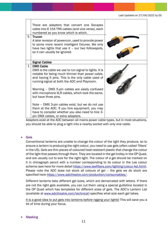

Adapters exist at the ADC between all mains power cable types, but in most situations, you should be able to plug a light into a nearby socket with only one cable.

#### <span id="page-10-0"></span>**Gels**

Conventional lanterns are unable to change the colour of the light they produce, so to ensure a lantern is producing the right colour, you need to use gels (often called 'filters' in the US). Gels are thin pieces of coloured heat-resistant plastic that change the colour of the light that passes through them. They are located in the gel trolley in the OP Quad, and are usually cut to size for the right light. The colour of a gel should be marked on it in chinagraph pencil with a number corresponding to its colour in the Lee colour scheme (see here for more detail [https://www.leefilters.com/lighting/colour-list.html\)](https://www.leefilters.com/lighting/colour-list.html). Please note the ADC does not stock all colours of gel – the gels we do stock are specified here [https://www.adctheatre.com/production/consumables/.](https://www.adctheatre.com/production/consumables/)

Different lanterns take different gel sizes, which are demarcated with letters. If there are not the right gels available, you can cut them using a special guillotine located in the OP Quad which has templates for different sizes of gels. The ADC's Lantern List (available at [www.adctheatre.com/technical\)](http://www.adctheatre.com/technical) specifies what size each gel takes.

It is a good idea to put gels into lanterns before rigging your lights! This will save you a lot of time during your focus.

#### <span id="page-10-1"></span>**Masking**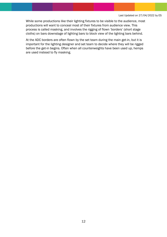While some productions like their lighting fixtures to be visible to the audience, most productions will want to conceal most of their fixtures from audience view. This process is called masking, and involves the rigging of flown 'borders' (short stage cloths) on bars downstage of lighting bars to block view of the lighting bars behind.

At the ADC borders are often flown by the set team during the main get-in, but it is important for the lighting designer and set team to decide where they will be rigged before the get-in begins. Often when all counterweights have been used up, hemps are used instead to fly masking.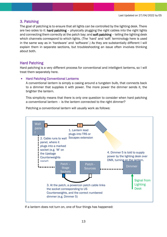## <span id="page-12-0"></span>3. Patching

The goal of patching is to ensure that all lights can be controlled by the lighting desk. There are two sides to it: hard patching – physically plugging the right cables into the right lights and connecting them correctly at the patch bay; and **soft patching** – telling the lighting desk which channels correspond to which lights. (The 'hard' and 'soft' terminology here is used in the same way as in 'hardware' and 'software'.) As they are substantially different I will explain them in separate sections, but troubleshooting an issue often involves thinking about both.

## <span id="page-12-1"></span>Hard Patching

Hard patching is a very different process for conventional and intelligent lanterns, so I will treat them separately here.

#### <span id="page-12-2"></span>• Hard Patching Conventional Lanterns

A conventional lantern is simply a casing around a tungsten bulb, that connects back to a dimmer that supplies it with power. The more power the dimmer sends it, the brighter the lantern.

This simplicity means that there is only one question to consider when hard patching a conventional lantern – is the lantern connected to the right dimmer?

Patching a conventional lantern will usually work as follows:



If a lantern does not turn on, one of four things has happened: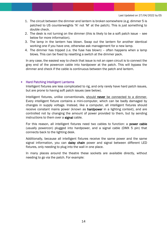- 1. The circuit between the dimmer and lantern is broken somewhere (e.g. dimmer 5 is patched to US counterweights 'N' not 'M' at the patch). This is just something to double check.
- 2. The desk is not turning on the dimmer (this is likely to be a soft patch issue see below for more information).
- 3. The lamp in the lantern has blown. Swap out the lantern for another identical working one if you have one, otherwise ask management for a new lamp.
- 4. The dimmer has tripped (i.e. the fuse has blown) often happens when a lamp blows. This can be fixed by resetting a switch at the dimmer pack.

In any case, the easiest way to check that issue is not an open circuit is to connect the grey end of the powercon cable into hardpower at the patch. This will bypass the dimmer and check if the cable is continuous between the patch and lantern.

#### <span id="page-13-0"></span>• Hard Patching Intelligent Lanterns

Intelligent fixtures are less complicated to rig, and only rarely have hard patch issues, but are prone to having soft patch issues (see below).

Intelligent fixtures, unlike conventionals, should never be connected to a dimmer. Every intelligent fixture contains a mini-computer, which can be badly damaged by changes in supply voltage. Instead, like a computer, all intelligent fixtures should receive constant mains power (known as **hardpower** in a lighting context), and are controlled not by changing the amount of power provided to them, but by sending instructions to them over a signal cable.

For this reason, all intelligent fixtures need two cables to function: a power cable (usually powercon) plugged into hardpower, and a signal cable (DMX 5 pin) that connects back to the lighting desk.

Additionally, because all intelligent fixtures receive the same power and the same signal information, you can daisy chain power and signal between different LED fixtures, only needing to plug into the wall in one place.

In many places around the theatre these sockets are available directly, without needing to go via the patch. For example: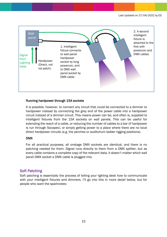

#### Running hardpower through 15A sockets

It is possible, however, to connect any circuit that could be connected to a dimmer to hardpower instead by connecting the grey end of the power cable into a hardpower circuit instead of a dimmer circuit. This means power can be, and often is, supplied to intelligent fixtures from the 15A sockets on wall panels. This can be useful for extending the reach of a cable, or reducing the number of cables to a bar (if hardpower is run through Socapex), or simply getting power to a place where there are no local direct hardpower circuits (e.g. the perches or auditorium ladder rigging positions).

## DMX

For all practical purposes, all onstage DMX sockets are identical, and there is no patching needed for them. Signal runs directly to them from a DMX splitter, but as every cable contains a complete copy of the relevant data, it doesn't matter which wall panel DMX socket a DMX cable is plugged into.

## <span id="page-14-0"></span>Soft Patching

Soft patching is essentially the process of telling your lighting desk how to communicate with your intelligent fixtures and dimmers. I'll go into this in more detail below, but for people who want the sparknotes: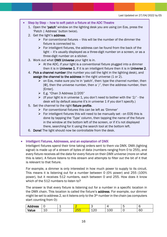- Step by Step how to soft patch a fixture at the ADC Theatre
	- 1. Open the 'patch' window on the lighting desk you are using (on Eos, press the 'Patch | Address' button twice).
	- 2. Get the light's address.
		- $\triangleright$  For conventional fixtures this will be the number of the dimmer the fixture is connected to.
		- $\triangleright$  For intelligent fixtures, the address can be found from the back of the light – it's usually displayed as a three-digit number on a screen, or as a three-digit number on a sticker.
	- 3. Work out what DMX Universe your light is in.
		- $\triangleright$  At the ADC, if your light is a conventional fixture plugged into a dimmer then it is in Universe 1. If it is an intelligent fixture then it is in Universe 2.
	- 4. Pick a channel number (the number you call the light in the lighting desk), and assign the channel to the address in the right universe (1 or 2).
		- $\triangleright$  on Eos, make sure you're in 'patch', then: type the channel number, then [@], then the universe number, then a '/', then the address number, then [Enter].
		- $\triangleright$  E.g. "Chan 3 Address 2/205"
		- $\triangleright$  (If your light is in universe 1, you don't need to bother with the '2/' the desk will by default assume it's in universe 1 if you don't specify.)
	- 5. Set the channel to the right fixture profile.
		- ➢ For conventional fixtures this can be left as 'Dimmer'
		- $\triangleright$  For intelligent fixtures this will need to be manually set on EOS this is done by tapping the 'Type' column, then tapping the name of the fixture in the window at the bottom left of the screen, or if it's not displayed there, searching for it using the search tool at the bottom left.
	- 6. Done! The light should now be controllable from the desk.

<span id="page-15-0"></span>• Intelligent Fixtures, Addresses, and an explanation of DMX

Intelligent fixtures spend their time taking orders sent to them via DMX. DMX (lighting signal) is made up of a stream of bytes of data (numbers ranging from 0 to 255), and every fixture receives all the data for every fixture on their *DMX universe* (more on what this is later). A fixture listens to this stream and attempts to filter out the bit of it that is relevant to that fixture.

For example, a dimmer is only interested in how much power to supply to its circuit. This means it is listening out for a number between 0 (0% power) and 255 (100% power), but it receives 512 numbers, each between 0 and 255. How does it know which of the 512 numbers to listen to?

The answer is that every fixture is listening out for a number in a specific location in the DMX chain. This location is called the fixture's address. For example, our dimmer might be set to address 2, so it listens only to the 3<sup>th</sup> number in the chain (as computers start counting from 0):

| <b>dress</b><br>- |    | . . | -<br>∼            |                | -            |
|-------------------|----|-----|-------------------|----------------|--------------|
| alue              | -- | ∠∪∼ | $\sim$<br>↗<br>ᅩᄼ | -<br>١C<br>⊥∪∪ | $\sim$<br>юu |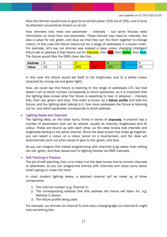Here the dimmer would know to give its circuit full power (255 out of 255), and it turns its attached conventional lantern on at full.

Now dimmers only need one parameter – intensity – but some fixtures need information on more than one parameter. These fixtures may need an intensity, but also a value for red, green, and blue (so that they can mix them together to change colour). In this case the fixture listens out for a range of addresses in a known order. For example, let's say our dimmer was instead a basic colour changing intelligent fixture set to address 2 that listens out for *Intensity*, then Red, then Green, then Blue. The fixture would filter the DMX chain like this:

| ddress | ◡ | --  |     | ۰., |                            |              |
|--------|---|-----|-----|-----|----------------------------|--------------|
| JIUC   | ∸ | . . | ∠ບບ | 100 | $\sim$ $\sim$ $\sim$<br>∸∽ | $\sim$<br>6C |

In this case the fixture would set itself to full brightness, and to a yellow colour (acquired by mixing red and green light).

Now, we could say this fixture is listening to the range of addresses 2-5, but that doesn't tell us which number corresponds to which parameter, so it is important that the lighting desk knows what the fixture is expecting to hear in advance – intensity first, then red, green, and blue. This order is known as a fixture profile and tells the fixture, and the lighting desk talking to it, how many addresses the fixture is listening out for, and which parameter corresponds to which address.

#### <span id="page-16-0"></span>• Lighting Desks and Channels

The lighting desk, on the other hand, thinks in terms of channels. A channel has a number of parameters that can be altered, usually its intensity (brightness) and its colour. These are bound up with each other, so the desk knows that intensity and brightness belong to the same channel. Since the desk knows that these go together, you can select a colour on a colour picker on a touchscreen, and the desk will automatically work out what values to give to red, green, and blue.

As you can imagine this makes programming with channels a lot easier than editing the red, green, and blue values sent to lighting fixtures via DMX manually.

#### <span id="page-16-1"></span>**Soft Patching in Practice**

The job of soft patching, then, is to make it so the desk knows how to convert channels to addresses, so you can programme entirely with channels and never worry about what's going on under the hood.

In most modern lighting desks, a patched channel will be made up of three components:

- 1. The channel number (e.g. Channel 1)
- 2. The corresponding address (the first address the fixture will listen for, e.g. Address 2 above)
- 3. The fixture profile being used.

For example, our dimmer (on channel 5) and colour changing light (on channel 6) might look something like: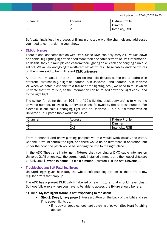| Channel | Address | <b>Fixture Profile</b> |
|---------|---------|------------------------|
|         |         | Dimmer                 |
| ൳       |         | Intensity, RGB         |

Soft patching is just the process of filling in this table with the channels and addresses you need to control during your show.

#### <span id="page-17-0"></span>**DMX Universes**

There is one last complication with DMX. Since DMX can only carry 512 values down one cable, big lighting rigs often need more than one cable's worth of DMX information. To do this, they run multiple cables from their lighting desk, each one carrying a unique set of DMX values, and going to a different set of fixtures. These cables, and the fixtures on them, are said to be in different DMX universes.

All that that means is that there can be multiple fixtures at the same address in different universes (e.g. a light at Address 15 in Universe 1 and Address 15 in Universe 2). When we patch a channel to a fixture at the lighting desk, we need to tell it which universe that fixture is in, so the information can be routed down the right cable, and to the right light.

The syntax for doing this on EOS (the ADC's lighting desk software) is to write the universe number, followed by a forward slash, followed by the address number. For example, if our colour changing light was on Universe 2, but our dimmer was on Universe 1, our patch table would look like:

| Channel | Address            | <b>Fixture Profile</b> |
|---------|--------------------|------------------------|
| 后<br>Ë  | ∸                  | Dimmer                 |
| - F     | $\Omega$<br>∠<br>∠ | Intensity, RGB         |

From a channel and show plotting perspective, this would work exactly the same, Channel 6 would control the light, and there would be no difference in operation, but under the hood the patch would be sending the info to the right place.

In the ADC Theatre, all intelligent fixtures that you plug a DMX cable into are on Universe 2. All others (e.g. the permanently installed dimmers and the houselights) are on Universe 1. When in doubt – if it's a dimmer, Universe 1, if it's not, Universe 2.

#### <span id="page-17-1"></span>• Troubleshooting Soft Patching Errors

Unsurprisingly, given how faffy the whole soft patching system is, there are a few regular errors that crop up.

The ADC has a pre-set DMX patch (labelled on each fixture) that should never clash. So hopefully errors where you have to be able to access the fixture should be rare.

#### 1) Help! My intelligent fixture is not responding to the desk!

- Step 1: Does it have power? Press a button on the back of the light and see if its screen lights up.
	- **If no power, troubleshoot hard patching of power. (See Hard Patching** above)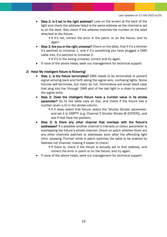- **Step 2: Is it set to the right address?** Look on the screen at the back of the light and check the address listed is the same address as the channel is set to on the desk. Also check if the address matches the number on the label attached to the fixture.
	- If it's not, correct the error in the patch, or on the fixture, and try again.
- Step 3: Are you in the right universe? Check on the desk, that if it's a dimmer it's patched to Universe 1, and if it's something you have plugged a DMX cable into, it's patched to Universe 2.
	- **If it's in the wrong universe, correct and try again.**
- If none of the above helps, seek out management for technical support.

#### 2) Help! My intelligent fixture is flickering!

- Step 1: Is the fixture terminated? DMX needs to be terminated to prevent signal echoing back and forth along the signal wire, confusing lights. Some fixtures self-terminate, but many do not. Terminators are small black caps that plug into the 'through' DMX port of the last light in a chain to prevent the signal echo.
- Step 2: Does the intelligent fixture have a number value in its strobe parameter? Go to live table view on Eos, and check if the fixture has a number (even a 0) in the strobe column.
	- **If it does, select that fixture, select the 'Shutter Strobe' parameter,** and set it to EMPTY (e.g. Channel 5 Shutter Strobe @ [ENTER]), and see if that fixes the problem.
- Step 3: Is there any other channel that overlaps with the fixture's addresses? It's possible another channel's intensity or colour parameter is overlapping the fixture's strobe channel. Check on patch whether there are any other channels patched to addresses soon after the offending light (Hint: pressing 'Format' while in patch switches the table to be ordered by Address not Channel, making it easier to check)
	- **If there is, check if the fixture is actually set to that address, and** correct the error in patch or on the fixture, and try again.
- If none of the above helps, seek out management for technical support.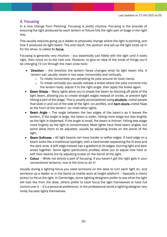# <span id="page-19-0"></span>4. Focusing

In a nice change from Patching, Focusing is pretty intuitive. Focusing is the process of ensuring the light produced by each lantern or fixture hits the right part of stage in the right way.

This usually requires going up a ladder to physically change where the light is pointing, and how it produces its *light beam*. The end result, the position and set-up the light ends up in for the show, is called its focus.

Focusing is generally very intuitive – you essentially just fiddle with the light until it looks right, then move on to the next one. However, to give an idea of the kinds of things you'll be changing I'll run through the main ones here:

- Direction the direction the lantern faces changes what its light beam hits. A lantern can usually rotate in two axes, horizontally and vertically.
	- o To rotate horizontally you swivelling its yoke around its hook clamp.
	- $\circ$  To rotate vertically you usually release a brake where the yoke connects into the lantern body, adjust it to the right angle, then apply the brake again.
- **Beam Shape** Many lights allow you to shape the beam by blocking off parts of the light beam, allowing you to create straight edges instead of circles, or prevent light hitting a part of the stage. This is usually accomplished using shutters—metal panels that slide in and out of the side of the light—on *profiles*, and barn doors—metal flaps at the front of the lantern—on most other lights*.*
- Beam Angle The angle between the two edges of the beam's as it leaves the lantern. If the angle is large, the beam is wider, hitting more stage but less brightly as the light is dispersed. If the angle is small, the beam is thinner, hitting less stage more brightly as the light is concentrated. Most lights have fixed beam angles, but some allow them to be adjusted, usually by adjusting knobs on the barrel of the light.
- Beam Softness All light beams can have harder or softer edges. A hard edge on a beam looks like a traditional spotlight, with a hard border separating the lit area and the dark area. A soft edge instead has a gradient at its edges, blurring light and dark areas together. Some lights (particularly *profiles*) allow you to adjust how hard or soft their beams are by adjusting knobs on the barrel of the light.
- Colour While not strictly a part of focusing, if you haven't got the right gels in your conventional lanterns, now is the time to do it!

Usually during a lighting focus you need someone on the desk to turn each light on, and someone up a ladder or in the Genie (a mobile work at height platform – basically a cherry picker) to focus the light. In Cambridge, some lighting designers prefer to see what the light will look like from the desk, others prefer to have focus the light themselves to have full control over it – it's a personal preference. In the professional world a lighting designer very rarely focuses lights themselves.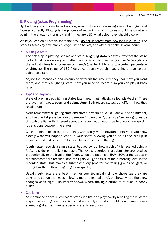# <span id="page-20-0"></span>5. Plotting (a.k.a. Programming)

By the time you sit down to plot a show, every fixture you are using should be rigged and focused correctly. Plotting is the process of recording which fixtures should be on at any point in the show, how brightly, and (if they are LED) what colour they should display.

While you can do all of this sat at the desk, do not underestimate how long it will take. The process scales by how many cues you need to plot, and often can take several hours.

#### <span id="page-20-1"></span>• Making A State

The first step in plotting is to make a state. A **lighting state** is a static way that the stage looks. Most desks allow you to alter the intensity of fixtures using either *faders* (sliders that adjust intensity) or *console commands* (that tell lights to go to a certain percentage brightness). The colour of LED fixtures can usually be changed using a touchscreen colour selector.

Adjust the intensities and colours of different fixtures until they look how you want them, and that's a lighting state. Next you need to record it so you can play it back later.

#### <span id="page-20-2"></span>• Types of Playback

Ways of playing back lighting states later, are, imaginatively, called 'playbacks'. There are two main types: cues, and submasters. Both record states, but differ in how they recall them.

A cue remembers a lighting state and stores it within a cue list. Each cue has a number, and the cue list plays back in order—cue 1, then cue 2, then cue 3—moving forwards through the list, with different speeds of fades set on each cue to control how quickly it transitions between the states.

Cues are fantastic for theatre, as they work really well in environments when you know exactly what will happen when in your show, allowing you to do all the set up in advance, and just press 'Go' to move between cues on the night.

A submaster records a single state, but you control how much of it is recalled using a *fader* (a slider on the lighting desk). The levels recorded in a submaster are recalled proportionally to the level of the fader. When the fader is at 50%, 50% of the values in the submaster are recalled, and the lights will go to 50% of their intensity level in the recorded state. This makes a submaster very good for controlling groups of lights, or mixing together different lighting ideas quickly.

Usually submasters are best in either very technically simple shows (as they are quicker to set-up than cues, allowing more rehearsal time), or shows where the show changes each night, like improv shows, where the rigid structure of cues is poorly suited.

#### <span id="page-20-3"></span>• Cue Lists

As mentioned above, cues record states in a list, and playback by recalling those states sequentially in a given order. A cue list is usually viewed in a table, and usually looks something like this (numbers usually refer to seconds):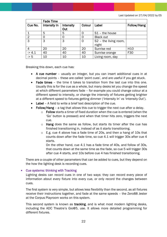|                       | <b>Fade Time</b> |                  |                 |                                   |                 |
|-----------------------|------------------|------------------|-----------------|-----------------------------------|-----------------|
| Cue No.               | Intensity In     | <b>Intensity</b> | Colour<br>Label |                                   | Follow/Hang     |
|                       |                  | Out              |                 |                                   |                 |
|                       | 5                | 5                |                 | $S1$ – the house                  |                 |
| $\overline{2}$        |                  |                  |                 | <b>Black out</b>                  |                 |
| 3                     | 3                | 3                | $\Omega$        | S <sub>2</sub> - the living room, |                 |
|                       |                  |                  |                 | night                             |                 |
| 4                     | 20               | 20               | 20              | Sunrise red                       | H <sub>10</sub> |
| > 4.1                 | 40               | 40               | 40              | Sunrise orange                    | F30             |
| $\overline{\cdot}$ >5 | 10               | 10               | 10              | Living room, day                  |                 |

Breaking this down, each cue has:

- A cue number usually an integer, but you can insert additional cues in at decimal points – these are called 'point cues', and are useful if you get stuck.
- Fade times the time it takes to transition from the last cue into this one. Usually this is for the cue as a whole, but many desks let you change the speed at which different parameters fade – for example you could change colour at a different speed to intensity, or change the intensity of fixtures getting brighter at a different speed to fixtures getting dimmer ('Intensity In' vs 'Intensity Out').
- Label A field to write a brief text description of the cue.
- Follow/Hang a tag that allows this cue to trigger the next cue after a delay.
	- $\circ$  Follow starts a timer of fixed duration when the cue is entered (when the 'Go' button is pressed) and when that timer hits zero, triggers the next cue.
	- $\circ$  Hang does the same as follow, but starts its timer after the cue has finished transitioning in, instead of as it starts transitioning.
	- $\circ$  E.g. cue 4 above has a fade time of 20s, and then a hang of 10s that counts down after the fade time, so cue 4.1 will trigger 30s after cue 4 starts.

On the other hand, cue 4.1 has a fade time of 40s, and follow of 30s, that counts down at the same time as the fade, so cue 5 will trigger 30s after cue 4 starts, and 10s before cue 4 has finished transitioning.

There are a couple of other parameters that can be added to cues, but they depend on the how the lighting desk is recording cues.

#### <span id="page-21-0"></span>• Cue systems: thinking with Tracking

Lighting desks can record cues in one of two ways: they can record every piece of information about every fixture into every cue, or only record the changes between cues.

The first system is very simple, but allows less flexibility than the second, as all fixtures receive their instructions together, and fade at the same speeds – the Zero88 Jester at the Corpus Playroom works on this system.

This second system is known as tracking, and is what most modern lighting desks, including the ADC Theatre's Gio@5, use. It allows more detailed programming for different fixtures.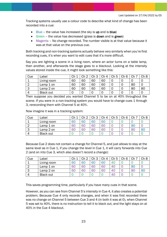Tracking systems usually use a colour code to describe what kind of change has been recorded into a cue:

- $\bullet$  Blue the value has increased (the sky is up and is blue)
- Green the value has decreased (grass is **down** and is green)
- Magenta No change recorded. The number visible is at that value because it was at that value on the previous cue.

Both tracking and non-tracking systems actually behave very similarly when you're first recording cues, it's when you want to edit cues that it's more difficult.

Say you are lighting a scene in a living room, where an actor turns on a table lamp, then another, and afterwards the stage goes to a blackout. Looking at the intensity values stored inside the cue, it might look something like this:

| Cue | Label            | Ch | Ch 2 | Ch <sub>3</sub> | Ch <sub>4</sub> | Ch 5 | Ch 6 | Ch | Ch 8 |
|-----|------------------|----|------|-----------------|-----------------|------|------|----|------|
|     | Living room      | 60 | 60   | 60              | 60              |      |      |    |      |
|     | Lamp 1 on        | 60 | 60   | 60              | 60              |      |      | 80 |      |
|     | Lamp 2 on        | 60 | 60   | 60              | 60              |      |      | 80 | 80   |
|     | <b>Black out</b> |    |      |                 |                 |      |      |    |      |

Then suppose you decided you wanted Channel 5 to be on at 40% throughout the scene. If you were in a non-tracking system you would have to change cues 1 through 3, rerecording them with Channel 5 at 40%.

Now imagine it was in a tracking system:

| Cue | Label            | Ch | Ch 2 | Ch 3 | Ch <sub>4</sub> | Сh<br>5 | Ch 6 | Сh | Ch 8           |
|-----|------------------|----|------|------|-----------------|---------|------|----|----------------|
|     | Living room      | 60 | 60   | 60   | 6C              |         |      |    |                |
|     | Lamp $1$ on      | 60 | 60   | 60   | 60              |         |      | 80 |                |
| ◡   | Lamp 2 on        | 60 | 60   | 60   | 60              |         |      | 80 | 8 <sub>C</sub> |
|     | <b>Black out</b> |    |      |      |                 |         |      |    |                |

Because Cue 2 does not contain a change for Channel 5, and just allows to stay at the same level as in Cue 1, if you change the level in Cue 1, it will carry forwards into Cue 2 (and on into Cue 3, which also doesn't record a change):

| Cue | ∟abel            | Сh | ∩հ<br>⌒ | Ch <sub>3</sub> | Ch 4 | Ch <sub>5</sub> | Ch <sub>6</sub> | Ch | Ch <sub>8</sub> |
|-----|------------------|----|---------|-----------------|------|-----------------|-----------------|----|-----------------|
|     | Living room      | 60 | 60      | 6C              | 60   | 4C              |                 |    |                 |
|     | Lamp 1 on        | 60 | 60      | 60              | 60   | 40              |                 | 8C |                 |
| З   | Lamp 2 on        | 60 | 60      | 60              | 60   | 40              |                 | 80 | 80              |
|     | <b>Black out</b> |    |         |                 |      | 40              |                 |    |                 |

This saves programming time, particularly if you have many cues in that scene.

However, as you can see from Channel 5's intensity in Cue 4, it also creates a potential problem. Because Cue 4 only records changes, and when it was first recorded there was no change on Channel 5 between Cue 3 and 4 (in both it was at 0), when Channel 5 was set to 40%, there is no instruction to tell it to black out, and the light stays on at 40% in the Cue 4 blackout.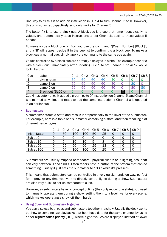One way to fix this is to add an instruction in Cue 4 to turn Channel 5 to 0. However, this only works retrospectively, and only works for Channel 5.

The better fix is to use a **block cue**. A block cue is a cue that remembers exactly its values, and automatically adds instructions to set Channels back to those values if needed.

To make a cue a block cue on Eos, you use the command "[Cue] [Number] [Block]", and a 'B' will appear beside it in the cue list to confirm it is a block cue. To make a block cue a normal cue, simply apply the command to the same cue again.

Values controlled by a block cue are normally displayed in white. The example scenario with a block cue, immediately after updating Cue 1 to set Channel 5 to 40%, would look like this:

| Cue            | ∟abel             | Ch | Րհ Դ | Ch <sub>3</sub> | Ch<br>4 | Ch <sub>5</sub> | Сh       | rh.<br>◡⊩ | Ch 8 |
|----------------|-------------------|----|------|-----------------|---------|-----------------|----------|-----------|------|
|                | Living room       | 60 | 6C   | 60              | 60      | 40              |          |           |      |
|                | Lamp 1 on         | 60 | 60   | 60              | 60      | 40              |          | 80        |      |
| 3              | Lamp 2 on         | 60 | 60   | 60              | 60      | 4C              |          | 80        | 80   |
| $\overline{4}$ | Black out (BLOCK) |    |      |                 |         |                 | $\Omega$ |           |      |

Cue 4 has automatically added a green "go to 0" instruction on Channel 5, and Channel 6 is marked as white, and ready to add the same instruction if Channel 6 is updated in an earlier cue.

#### <span id="page-23-0"></span>**Submasters**

A submaster stores a state and recalls it proportionally to the level of the submaster. For example, here is a table of a submaster containing a state, and then recalling it at different percentages:

|                      | Сh | ി<br>Րհ | Ch 3 | Ch<br>$\overline{4}$ | Ch <sub>5</sub> | Ch <sub>6</sub> | Ch 8 | Ch 9 |
|----------------------|----|---------|------|----------------------|-----------------|-----------------|------|------|
| <b>Initial State</b> |    | 50      | 100  | 100                  | 50              | 25              |      |      |
| Sub at 0             |    | 0       |      |                      |                 | O               |      |      |
| Sub at 10            |    | 5       | 10   | 10                   | 5               | З               |      |      |
| Sub at 50            |    | 25      | 50   | 50                   | 25              | 13              |      |      |
| Sub at 100           |    | 50      | 100  | 100                  | 50              | 25              |      |      |

Submasters are usually mapped onto faders - physical sliders on a lighting desk that can vary between 0 and 100%. Often faders have a button at the bottom that can do something (usually it just sets the submaster to 100% while it's pressed).

This means that submasters can be controlled in a very quick, hands-on way, perfect for improv, or any time you want to directly control lights during a show. Submasters are also very quick to set up compared to cues.

However, as submasters have no concept of time (they only record one state), you need to manually operate them during a show, setting them to a level live for every scene, which makes operating a show off them harder.

#### <span id="page-23-1"></span>• Using Cues and Submasters Together

You can also use both cues and submasters together in a show. Usually the desk works out how to combine two playbacks that both have data for the same channel by using either highest takes priority (HTP), where higher values are displayed instead of lower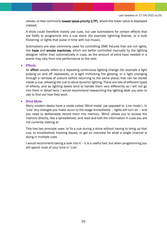values, or less commonly lowest takes priority (LTP), where the lower value is displayed instead.

A show could therefore mainly use cues, but use submasters for certain effects that are fiddly to programme into a cue stack (for example lightning flashes, or a bulb flickering, or lights that pulse in time with live music).

Submasters are also commonly used for controlling DMX fixtures that are not lights, like haze and smoke machines, which are better controlled manually by the lighting designer rather than automatically in cues, as the amount of extra haze needed in a scene may vary from one performance to the next.

#### <span id="page-24-0"></span>• Effects

An effect usually refers to a repeating continuous lighting change (for example a light pulsing on and off repeatedly, or a light mimicking fire glowing, or a light changing through a rainbow of colours before returning to the same place) that can be stored inside a cue, allowing the cue to store dynamic lighting. There are lots of different types of effects, and as lighting desks tend to handle them very differently so I will not go into them in detail here. I would recommend researching the lighting desk you plan to use to find out how they work.

#### <span id="page-24-1"></span>• Blind Mode

Many modern desks have a mode called 'Blind mode' (as opposed to 'Live mode'). In 'Live' any changes you make occur to the stage immediately – lights will turn on – and you need to deliberately record them into memory. 'Blind' allows you to access the memory directly, like a spreadsheet, and read and edit the information in cues you are not currently looking at.

This has two principle uses: to fix a cue during a show without having to bring up that cue; to troubleshoot tracking issues, or get an overview for what a single channel is doing in multiple cues.

I would recommend taking a look into it – it is a useful tool, but when programming you will spend most of your time in 'Live'.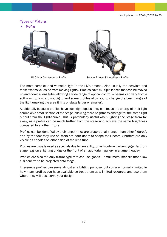## <span id="page-25-0"></span>Types of Fixture

<span id="page-25-1"></span>**Profile** 





RJ 614sx Conventional Profile Source 4 Lustr S2 Intelligent Profile

The most complex and versatile light in the LD's arsenal. Also usually the heaviest and most expensive (aside from moving lights). Profiles have multiple lenses that can be moved up and down a lens tube, allowing a wide range of optical control – beams can vary from a soft wash to a sharp spotlight, and some profiles allow you to change the beam angle of the light (making the area it hits onstage larger or smaller).

Additionally because profiles have such tight optics, they can focus the energy of their light source on a small section of the stage, allowing more brightness onstage for the same light output from the light-source. This is particularly useful when lighting the stage from far away, as a profile can be much further from the stage and achieve the same brightness compared to another fixture.

Profiles can be identified by their length (they are proportionally longer than other fixtures), and by the fact they use shutters not barn doors to shape their beam. Shutters are only visible as handles on either side of the lens tube.

Profiles are usually used as specials due to versatility, or as frontwash when rigged far from stage (e.g. on a lighting bridge or the front of an auditorium gallery in a large theatre).

Profiles are also the only fixture type that can use gobos – small metal stencils that allow a silhouette to be projected onto stage.

In essence profiles can serve almost any lighting purpose, but you are normally limited in how many profiles you have available so treat them as a limited resource, and use them where they will best serve your design.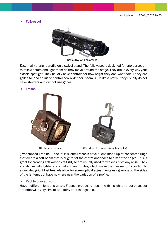<span id="page-26-0"></span>**Followspot** 



RJ Roxie (CW v2) Followspot

Essentially a bright profile on a swivel stand. The followspot is designed for one purpose – to follow actors and light them as they move around the stage. They are in every way your classic spotlight. They usually have controls for how bright they are, what colour they are gelled to, and an iris to control how wide their beam is. Unlike a profile, they usually do not have shutters and cannot use gobos.

#### <span id="page-26-1"></span>**Fresnel**





CCT Starlette Fresnel CCT Minuette Fresnel (much smaller)

(Pronounced Freh-nel – the 's' is silent) Fresnels have a lens made up of concentric rings that create a soft beam that is brighter at the centre and fades to dim at the edges. This is great for creating soft washes of light, so are usually used for washes from any angle. They are also usually lighter and smaller than profiles, which make them easier to fly, or fit into a crowded grid. Most fresnels allow for some optical adjustments using knobs on the sides of the lantern, but have nowhere near the variation of a profile.

#### <span id="page-26-2"></span>• Pebble Convex (PC)

Have a different lens design to a Fresnel, producing a beam with a slightly harder edge, but are otherwise very similar and fairly interchangeable.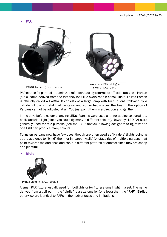<span id="page-27-0"></span>• PAR





PAR64 Lantern (a.k.a. 'Parcan')

Colorsource PAR Intelligent Fixture (a.k.a 'CSP')

PAR stands for parabolic aluminized reflector. Usually referred to affectionately as a Parcan (a nickname derived from the fact they look like oversized tin cans). The full sized Parcan is officially called a PAR64. It consists of a large lamp with built in lens, followed by a cylinder of black metal that contains and somewhat shapes the beam. The optics of Parcans cannot be adjusted at all. You just point them in a direction and gel them.

In the days before colour-changing LEDs, Parcans were used a lot for adding coloured top, back, and side light (since you could rig many in different colours). Nowadays LED PARs are generally used for this purpose (see the 'CSP' above), allowing designers to rig fewer as one light can produce many colours.

Tungsten parcans now have few uses, though are often used as 'blinders' (lights pointing at the audience to "blind" them) or in 'parcan walls' (onstage rigs of multiple parcans that point towards the audience and can run different patterns or effects) since they are cheap and plentiful.

<span id="page-27-1"></span>**Birdie** 



PAR16 Lantern (a.k.a. 'Birdie')

A small PAR fixture, usually used for footlights or for fitting a small light in a set. The name derived from a golf pun – the "birdie" is a size smaller (one less) than the "PAR". Birdies otherwise are identical to PARs in their advantages and limitations.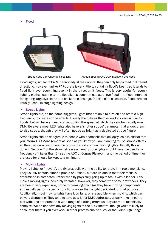<span id="page-28-0"></span>• Flood





Strand Coda Conventional Floodlight Altman Spectra CYC 200 Intelligent Cyc Flood

Flood lights, similar to PARs, cannot adjust their optics, they can only be pointed in different directions. However, unlike PARs there is very little to contain a flood's beam, so it tends to flood light over everything evenly in the direction it faces. This is very useful for evenly lighting cloths, leading to the floodlight's common use as a 'cyc flood' – a flood intended for lighting large cyc cloths and backdrops onstage. Outside of this use case, floods are not usually useful in stage lighting design.

#### <span id="page-28-1"></span>• Strobe Lights

Strobe lights are, as the name suggests, lights that are able to turn on and off at a high frequency, to create strobe effects. Usually the fixtures themselves look very similar to floods, but will have a means of controlling the speed at which they strobe, usually over DMX. Be aware most LED lights also have a 'shutter strobe' parameter that allows them to also strobe, though they will often not be as bright as a dedicated strobe fixture.

Strobe lights can be dangerous to people with photosensitive epilepsy, so it is critical that you inform ADC Management as soon as you know you are planning to use strobe effects so they can warn customers the production will contain flashing lights. Usually this is done in Section 2 of the show risk assessment. Strobe lights should never be used at a frequency of higher than 5Hz at the ADC or Corpus Playroom, and the period of time they are used for should be kept to a minimum.

#### <span id="page-28-2"></span>• Moving Lights

Moving lights, or 'movers', are fixtures built with the ability to rotate in three dimensions. They usually contain either a profile or Fresnel, but are unique in that their focus is determined in soft patch, rather than by physically going up to focus with a ladder. This makes moving lights incredibly versatile. However, they come with some drawbacks. They are heavy, very expensive, prone to breaking down (as they have moving components), and usually perform specific functions worse than a light dedicated for that purpose. Additionally, most moving lights have loud fans, or are audible when moving, which can be very distracting. They tend to take up a lot of DMX addresses, usually take longer to plot with, and are prone to a wide range of plotting errors as they are more technically complex. We do not have any moving lights at the ADC Theatre, though you are likely to encounter them if you ever work in other professional venues, or the Edinburgh Fringe.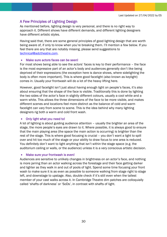# <span id="page-29-0"></span>A Few Principles of Lighting Design

As mentioned before, lighting design is very personal, and there is no right way to approach it. Different shows have different demands, and different lighting designers have different artistic styles.

Having said that, there are some general principles of good lighting design that are worth being aware of, if only to know when you're breaking them. I'll mention a few below. If you feel there are any that are notably missing, please send suggestions to [technical@adctheatre.com.](mailto:technical@adctheatre.com)

#### <span id="page-29-1"></span>Make sure actors faces can be seen!

For most shows being able to see the actors' faces is key to their performance – the face is the most expressive part of an actor's body and audiences generally don't like being deprived of their expressions (the exception here is dance shows, where sidelighting the body is often more important). This is where good facelight (also known as keylight) comes in. Usually your frontwash will do a lot of the heavy lifting here.

However, good facelight isn't just about having enough light on people's faces, it's also about ensuring that the shape of the face is visible. Traditionally this is done by lighting the two sides of the actor's face in slightly different colours, usually a cool white and a warm white. This allows the three dimensions of the face to be more visible, and makes different scenes and locations feel more distinct as the balance of cold and warm facelight can vary from scene to scene. This is the idea behind why many lighting designers rig both a warm and cold front wash.

#### <span id="page-29-2"></span>• Only light what you need to!

A lot of lighting is about guiding audience attention – usually the brighter an area of the stage, the more people's eyes are drawn to it. Where possible, it is always good to ensure that the main playing area (the space the main action is occurring) is brighter than the rest of the stage. This is where good focusing is crucial – you don't want a light to spill over and hit too much of the stage or your ability to draw focus to one area is reduced. You definitely don't want to light anything that isn't within the stage space (e.g. the auditorium ceiling or walls, or the audience) unless it is a very conscious artistic decision.

#### <span id="page-29-3"></span>Make sure your frontwash is even!

Audiences are sensitive to unlikely changes in brightness on an actor's face, and nothing is more jarring than an actor walking across the forestage and their face getting darker and lighter as they walk in and out of pools of light. Spend some time focusing your front wash to make sure it is as even as possible to someone walking from stage right to stage left, and downstage to upstage. Also, double check if it's still even when the tallest member of your cast walks across it. In Cambridge Theatre dim patches are colloquially called 'shafts of darkness' or 'SoDs', in contrast with shafts of light.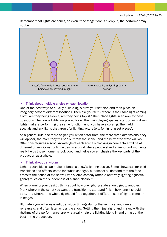Remember that lights are cones, so even if the stage floor is evenly lit, the performer may not be:



#### <span id="page-30-0"></span>• Think about multiple angles on each location!

One of the best ways to quickly build a rig is draw your set plan and then place an imaginary actor at different locations. Then ask yourself – where is their face light coming from? Are they being side-lit, are they being top lit? Then place lights in answer to these questions. Then once lights are placed for all the main playing spaces, start pruning down lights that are performing the same function, until you have a core rig. Then add in specials and any lights that aren't for lighting actors (e.g. for lighting set pieces).

As a general rule, the more angles you hit an actor from, the more three dimensional they will appear, the more they will pop out from the scene, and the better the state will look. Often this requires a good knowledge of each scene's blocking (where actors will be at different times). Constructing a design around where people stand at important moments really helps those moments look good, and helps you emphasise the key parts of the production as a whole.

#### <span id="page-30-1"></span>• Think about transitions!

Lighting transitions can make or break a show's lighting design. Some shows call for bold transitions and effects, some for subtle changes, but almost all demand that the fade times fit the action of the show. Even sketch comedy (often a relatively lighting-agnostic genre) relies on the suddenness of a snap blackout.

When planning your design, think about how one lighting state should get to another. Mark where in the script you want the transition to start and finish, how long it should take, and whether the whole rig should fade together, or different sets of lights come on in stages.

Ultimately you will always edit transition timings during the technical and dress rehearsals, and often later across the show. Getting them just right, and in sync with the rhythms of the performance, are what really help the lighting blend in and bring out the best in the production.